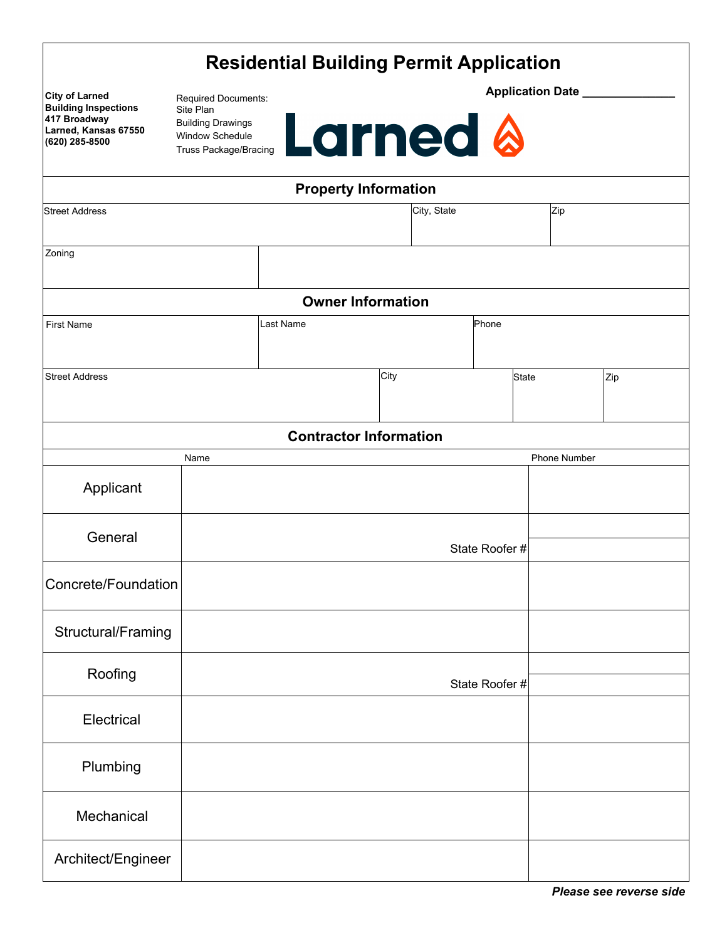| <b>Residential Building Permit Application</b> |  |
|------------------------------------------------|--|
|------------------------------------------------|--|

| <b>City of Larned</b><br><b>Building Inspections</b><br>417 Broadway | Required Documents:<br>Site Plan                                                                   |                               | <b>Application Date</b> |                             |             |               |                     |     |  |
|----------------------------------------------------------------------|----------------------------------------------------------------------------------------------------|-------------------------------|-------------------------|-----------------------------|-------------|---------------|---------------------|-----|--|
| Larned, Kansas 67550<br>(620) 285-8500                               | <b>Larned &amp;</b><br><b>Building Drawings</b><br>Window Schedule<br><b>Truss Package/Bracing</b> |                               |                         |                             |             |               |                     |     |  |
|                                                                      |                                                                                                    |                               |                         | <b>Property Information</b> |             |               |                     |     |  |
| <b>Street Address</b>                                                |                                                                                                    |                               |                         |                             | City, State |               | Zip                 |     |  |
| Zoning                                                               |                                                                                                    |                               |                         |                             |             |               |                     |     |  |
|                                                                      |                                                                                                    |                               |                         | <b>Owner Information</b>    |             |               |                     |     |  |
| <b>First Name</b>                                                    | Last Name<br>Phone                                                                                 |                               |                         |                             |             |               |                     |     |  |
| <b>Street Address</b>                                                |                                                                                                    |                               |                         | City                        |             |               | <b>State</b>        | Zip |  |
|                                                                      |                                                                                                    |                               |                         |                             |             |               |                     |     |  |
|                                                                      |                                                                                                    | <b>Contractor Information</b> |                         |                             |             |               |                     |     |  |
|                                                                      | Name                                                                                               |                               |                         |                             |             |               | <b>Phone Number</b> |     |  |
| Applicant                                                            |                                                                                                    |                               |                         |                             |             |               |                     |     |  |
| General                                                              |                                                                                                    |                               |                         |                             |             | State Roofer# |                     |     |  |
| Concrete/Foundation                                                  |                                                                                                    |                               |                         |                             |             |               |                     |     |  |
| Structural/Framing                                                   |                                                                                                    |                               |                         |                             |             |               |                     |     |  |
| Roofing                                                              |                                                                                                    |                               |                         |                             |             | State Roofer# |                     |     |  |
|                                                                      |                                                                                                    |                               |                         |                             |             |               |                     |     |  |
| Electrical                                                           |                                                                                                    |                               |                         |                             |             |               |                     |     |  |
| Plumbing                                                             |                                                                                                    |                               |                         |                             |             |               |                     |     |  |
| Mechanical                                                           |                                                                                                    |                               |                         |                             |             |               |                     |     |  |
| Architect/Engineer                                                   |                                                                                                    |                               |                         |                             |             |               |                     |     |  |